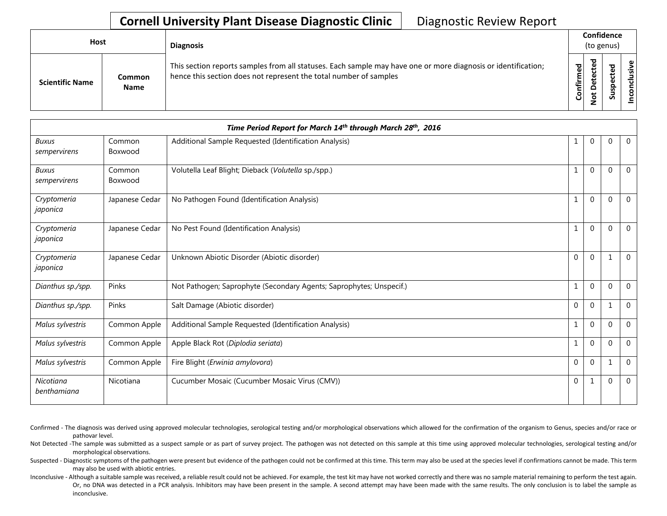| Host                   |                              | <b>Diagnosis</b>                                                                                                                                                                   |           | Confidence<br>(to genus)                     |              |    |
|------------------------|------------------------------|------------------------------------------------------------------------------------------------------------------------------------------------------------------------------------|-----------|----------------------------------------------|--------------|----|
| <b>Scientific Name</b> | <b>Common</b><br><b>Name</b> | This section reports samples from all statuses. Each sample may have one or more diagnosis or identification;<br>hence this section does not represent the total number of samples | Confirmed | ъ<br>္ၿ<br>ں<br>ىپ<br>o<br>پ<br>$\circ$<br>- | ਠ<br>s<br>ഗ് | .≥ |

|                              | Time Period Report for March 14th through March 28th, 2016 |                                                                     |              |                |          |                |  |
|------------------------------|------------------------------------------------------------|---------------------------------------------------------------------|--------------|----------------|----------|----------------|--|
| <b>Buxus</b><br>sempervirens | Common<br>Boxwood                                          | Additional Sample Requested (Identification Analysis)               | 1            | $\overline{0}$ | $\Omega$ | $\overline{0}$ |  |
| <b>Buxus</b><br>sempervirens | Common<br>Boxwood                                          | Volutella Leaf Blight; Dieback (Volutella sp./spp.)                 |              | $\Omega$       | $\Omega$ | $\mathbf{0}$   |  |
| Cryptomeria<br>japonica      | Japanese Cedar                                             | No Pathogen Found (Identification Analysis)                         |              | $\Omega$       | $\Omega$ | $\overline{0}$ |  |
| Cryptomeria<br>japonica      | Japanese Cedar                                             | No Pest Found (Identification Analysis)                             | 1            | $\overline{0}$ | $\Omega$ | $\mathbf{0}$   |  |
| Cryptomeria<br>japonica      | Japanese Cedar                                             | Unknown Abiotic Disorder (Abiotic disorder)                         | $\mathbf 0$  | $\mathbf 0$    |          | $\mathbf{0}$   |  |
| Dianthus sp./spp.            | Pinks                                                      | Not Pathogen; Saprophyte (Secondary Agents; Saprophytes; Unspecif.) | 1            | $\mathbf 0$    | $\Omega$ | $\overline{0}$ |  |
| Dianthus sp./spp.            | Pinks                                                      | Salt Damage (Abiotic disorder)                                      | $\mathbf{0}$ | $\mathbf{0}$   |          | $\mathbf{0}$   |  |
| Malus sylvestris             | Common Apple                                               | Additional Sample Requested (Identification Analysis)               | 1            | $\mathbf 0$    | $\Omega$ | $\overline{0}$ |  |
| Malus sylvestris             | Common Apple                                               | Apple Black Rot (Diplodia seriata)                                  | 1            | $\mathbf{0}$   | $\Omega$ | $\mathbf{0}$   |  |
| Malus sylvestris             | Common Apple                                               | Fire Blight (Erwinia amylovora)                                     | $\mathbf 0$  | $\mathbf{0}$   |          | $\overline{0}$ |  |
| Nicotiana<br>benthamiana     | Nicotiana                                                  | Cucumber Mosaic (Cucumber Mosaic Virus (CMV))                       | $\mathbf{0}$ | 1              | $\Omega$ | $\overline{0}$ |  |

- Confirmed The diagnosis was derived using approved molecular technologies, serological testing and/or morphological observations which allowed for the confirmation of the organism to Genus, species and/or race or pathovar level.
- Not Detected -The sample was submitted as a suspect sample or as part of survey project. The pathogen was not detected on this sample at this time using approved molecular technologies, serological testing and/or morphological observations.
- Suspected Diagnostic symptoms of the pathogen were present but evidence of the pathogen could not be confirmed at this time. This term may also be used at the species level if confirmations cannot be made. This term may also be used with abiotic entries.
- Inconclusive Although a suitable sample was received, a reliable result could not be achieved. For example, the test kit may have not worked correctly and there was no sample material remaining to perform the test again. Or, no DNA was detected in a PCR analysis. Inhibitors may have been present in the sample. A second attempt may have been made with the same results. The only conclusion is to label the sample as inconclusive.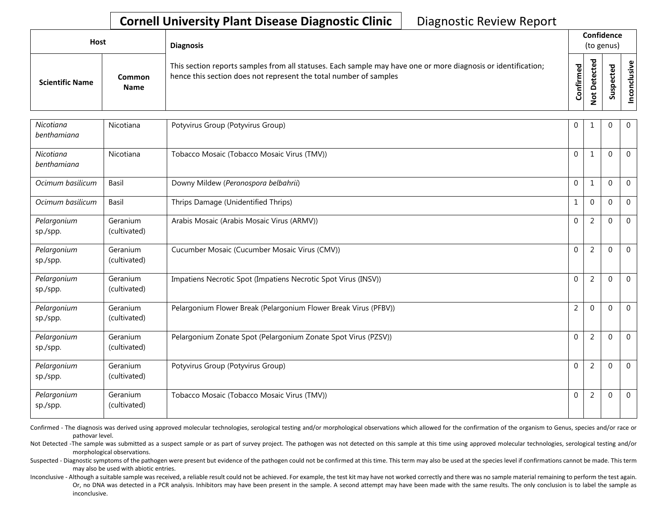| <b>Host</b>            |                       | <b>Diagnosis</b>                                                                                                                                                                   |           |                                    | Confidence<br>(to genus) |         |  |
|------------------------|-----------------------|------------------------------------------------------------------------------------------------------------------------------------------------------------------------------------|-----------|------------------------------------|--------------------------|---------|--|
| <b>Scientific Name</b> | Common<br><b>Name</b> | This section reports samples from all statuses. Each sample may have one or more diagnosis or identification;<br>hence this section does not represent the total number of samples | Confirmed | ᇃ<br>Φ<br>سه<br>$\Omega$<br>پ<br>- | ശ                        | Φ<br>šξ |  |

| Nicotiana<br>benthamiana | Nicotiana                | Potyvirus Group (Potyvirus Group)                                | $\mathbf{0}$   | 1              | $\Omega$ | $\mathbf{0}$   |
|--------------------------|--------------------------|------------------------------------------------------------------|----------------|----------------|----------|----------------|
| Nicotiana<br>benthamiana | Nicotiana                | Tobacco Mosaic (Tobacco Mosaic Virus (TMV))                      | $\mathbf 0$    | 1              | $\Omega$ | $\overline{0}$ |
| Ocimum basilicum         | Basil                    | Downy Mildew (Peronospora belbahrii)                             | $\mathbf{0}$   | 1              | $\Omega$ | $\mathbf{0}$   |
| Ocimum basilicum         | Basil                    | Thrips Damage (Unidentified Thrips)                              |                | $\mathbf{0}$   | $\Omega$ | $\mathbf{0}$   |
| Pelargonium<br>sp./spp.  | Geranium<br>(cultivated) | Arabis Mosaic (Arabis Mosaic Virus (ARMV))                       | $\Omega$       | 2              | $\Omega$ | $\overline{0}$ |
| Pelargonium<br>sp./spp.  | Geranium<br>(cultivated) | Cucumber Mosaic (Cucumber Mosaic Virus (CMV))                    | $\Omega$       | $\overline{2}$ | $\Omega$ | $\overline{0}$ |
| Pelargonium<br>sp./spp.  | Geranium<br>(cultivated) | Impatiens Necrotic Spot (Impatiens Necrotic Spot Virus (INSV))   | $\mathbf 0$    | 2              | $\Omega$ | $\overline{0}$ |
| Pelargonium<br>sp./spp.  | Geranium<br>(cultivated) | Pelargonium Flower Break (Pelargonium Flower Break Virus (PFBV)) | $\overline{2}$ | $\mathbf{0}$   | $\Omega$ | $\mathbf 0$    |
| Pelargonium<br>sp./spp.  | Geranium<br>(cultivated) | Pelargonium Zonate Spot (Pelargonium Zonate Spot Virus (PZSV))   | $\mathbf{0}$   | 2              | $\Omega$ | $\mathbf 0$    |
| Pelargonium<br>sp./spp.  | Geranium<br>(cultivated) | Potyvirus Group (Potyvirus Group)                                | $\Omega$       | $\overline{2}$ | $\Omega$ | $\mathbf 0$    |
| Pelargonium<br>sp./spp.  | Geranium<br>(cultivated) | Tobacco Mosaic (Tobacco Mosaic Virus (TMV))                      | $\mathbf{0}$   | $\overline{2}$ | $\Omega$ | $\overline{0}$ |

Confirmed - The diagnosis was derived using approved molecular technologies, serological testing and/or morphological observations which allowed for the confirmation of the organism to Genus, species and/or race or pathovar level.

Not Detected -The sample was submitted as a suspect sample or as part of survey project. The pathogen was not detected on this sample at this time using approved molecular technologies, serological testing and/or morphological observations.

Suspected - Diagnostic symptoms of the pathogen were present but evidence of the pathogen could not be confirmed at this time. This term may also be used at the species level if confirmations cannot be made. This term may also be used with abiotic entries.

Inconclusive - Although a suitable sample was received, a reliable result could not be achieved. For example, the test kit may have not worked correctly and there was no sample material remaining to perform the test again. Or, no DNA was detected in a PCR analysis. Inhibitors may have been present in the sample. A second attempt may have been made with the same results. The only conclusion is to label the sample as inconclusive.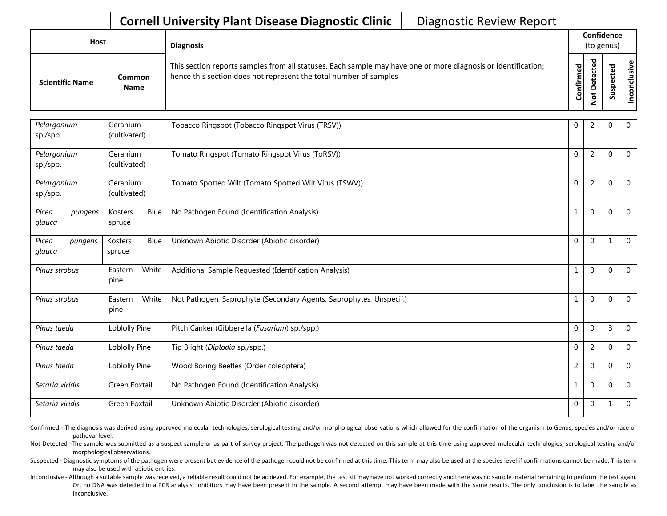| Host                   |                       | <b>Diagnosis</b>                                                                                                                                                                   |                          | Confidence<br>(to genus) |        |                                  |  |  |
|------------------------|-----------------------|------------------------------------------------------------------------------------------------------------------------------------------------------------------------------------|--------------------------|--------------------------|--------|----------------------------------|--|--|
| <b>Scientific Name</b> | Common<br><b>Name</b> | This section reports samples from all statuses. Each sample may have one or more diagnosis or identification;<br>hence this section does not represent the total number of samples | ¢<br>tir<br>$\circ$<br>Õ |                          | ω<br>s | $\mathbf \omega$<br>$\circ$<br>ō |  |  |

| Pelargonium<br>sp./spp.    | Geranium<br>(cultivated)  | Tobacco Ringspot (Tobacco Ringspot Virus (TRSV))                    | $\mathbf 0$    | $\overline{2}$ | 0            | $\mathbf 0$    |
|----------------------------|---------------------------|---------------------------------------------------------------------|----------------|----------------|--------------|----------------|
| Pelargonium<br>sp./spp.    | Geranium<br>(cultivated)  | Tomato Ringspot (Tomato Ringspot Virus (ToRSV))                     | $\Omega$       | $\overline{2}$ | $\Omega$     | $\mathbf 0$    |
| Pelargonium<br>sp./spp.    | Geranium<br>(cultivated)  | Tomato Spotted Wilt (Tomato Spotted Wilt Virus (TSWV))              | $\mathbf{0}$   | $\overline{2}$ | $\Omega$     | $\overline{0}$ |
| Picea<br>pungens<br>glauca | Blue<br>Kosters<br>spruce | No Pathogen Found (Identification Analysis)                         |                | $\mathbf{0}$   | $\Omega$     | $\overline{0}$ |
| Picea<br>pungens<br>glauca | Blue<br>Kosters<br>spruce | Unknown Abiotic Disorder (Abiotic disorder)                         | $\Omega$       | $\mathbf{0}$   | $\mathbf{1}$ | $\overline{0}$ |
| Pinus strobus              | White<br>Eastern<br>pine  | Additional Sample Requested (Identification Analysis)               | 1              | $\mathbf 0$    | 0            | $\mathbf 0$    |
| Pinus strobus              | White<br>Eastern<br>pine  | Not Pathogen; Saprophyte (Secondary Agents; Saprophytes; Unspecif.) |                | $\mathbf{0}$   | $\Omega$     | $\overline{0}$ |
| Pinus taeda                | Loblolly Pine             | Pitch Canker (Gibberella (Fusarium) sp./spp.)                       | $\mathbf{0}$   | $\mathbf{0}$   | 3            | $\overline{0}$ |
| Pinus taeda                | Loblolly Pine             | Tip Blight (Diplodia sp./spp.)                                      | $\mathbf{0}$   | $\overline{2}$ | $\Omega$     | $\overline{0}$ |
| Pinus taeda                | Loblolly Pine             | Wood Boring Beetles (Order coleoptera)                              | $\overline{2}$ | $\mathbf 0$    | $\Omega$     | $\overline{0}$ |
| Setaria viridis            | Green Foxtail             | No Pathogen Found (Identification Analysis)                         |                | $\mathbf{0}$   | $\mathbf 0$  | $\mathbf 0$    |
| Setaria viridis            | Green Foxtail             | Unknown Abiotic Disorder (Abiotic disorder)                         | $\mathbf{0}$   | $\mathbf 0$    | $\mathbf{1}$ | $\overline{0}$ |

Confirmed - The diagnosis was derived using approved molecular technologies, serological testing and/or morphological observations which allowed for the confirmation of the organism to Genus, species and/or race or pathovar level.

Not Detected -The sample was submitted as a suspect sample or as part of survey project. The pathogen was not detected on this sample at this time using approved molecular technologies, serological testing and/or morphological observations.

Suspected - Diagnostic symptoms of the pathogen were present but evidence of the pathogen could not be confirmed at this time. This term may also be used at the species level if confirmations cannot be made. This term may also be used with abiotic entries.

Inconclusive - Although a suitable sample was received, a reliable result could not be achieved. For example, the test kit may have not worked correctly and there was no sample material remaining to perform the test again. Or, no DNA was detected in a PCR analysis. Inhibitors may have been present in the sample. A second attempt may have been made with the same results. The only conclusion is to label the sample as inconclusive.